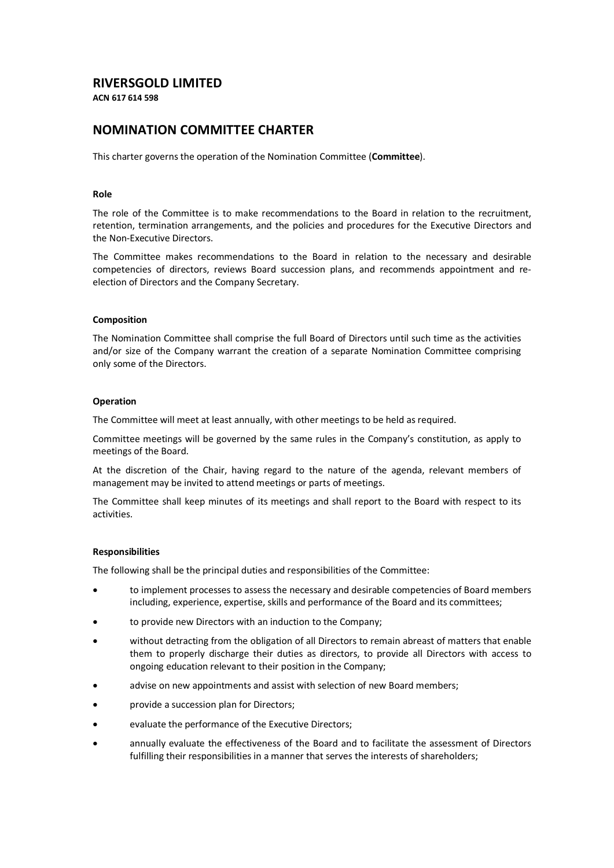# **RIVERSGOLD LIMITED**

**ACN 617 614 598**

# **NOMINATION COMMITTEE CHARTER**

This charter governs the operation of the Nomination Committee (**Committee**).

#### **Role**

The role of the Committee is to make recommendations to the Board in relation to the recruitment, retention, termination arrangements, and the policies and procedures for the Executive Directors and the Non-Executive Directors.

The Committee makes recommendations to the Board in relation to the necessary and desirable competencies of directors, reviews Board succession plans, and recommends appointment and reelection of Directors and the Company Secretary.

#### **Composition**

The Nomination Committee shall comprise the full Board of Directors until such time as the activities and/or size of the Company warrant the creation of a separate Nomination Committee comprising only some of the Directors.

#### **Operation**

The Committee will meet at least annually, with other meetings to be held as required.

Committee meetings will be governed by the same rules in the Company's constitution, as apply to meetings of the Board.

At the discretion of the Chair, having regard to the nature of the agenda, relevant members of management may be invited to attend meetings or parts of meetings.

The Committee shall keep minutes of its meetings and shall report to the Board with respect to its activities.

# **Responsibilities**

The following shall be the principal duties and responsibilities of the Committee:

- to implement processes to assess the necessary and desirable competencies of Board members including, experience, expertise, skills and performance of the Board and its committees;
- to provide new Directors with an induction to the Company;
- without detracting from the obligation of all Directors to remain abreast of matters that enable them to properly discharge their duties as directors, to provide all Directors with access to ongoing education relevant to their position in the Company;
- advise on new appointments and assist with selection of new Board members;
- provide a succession plan for Directors;
- evaluate the performance of the Executive Directors;
- annually evaluate the effectiveness of the Board and to facilitate the assessment of Directors fulfilling their responsibilities in a manner that serves the interests of shareholders;